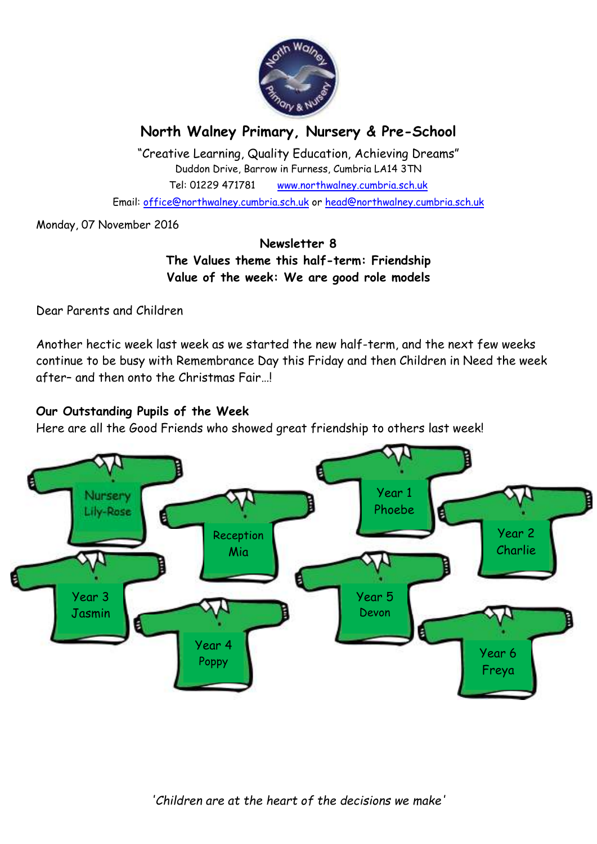

# **North Walney Primary, Nursery & Pre-School**

"Creative Learning, Quality Education, Achieving Dreams" Duddon Drive, Barrow in Furness, Cumbria LA14 3TN Tel: 01229 471781 www.northwalney.cumbria.sch.uk

Email: office@northwalney.cumbria.sch.uk or head@northwalney.cumbria.sch.uk

Monday, 07 November 2016

### **Newsletter 8 The Values theme this half-term: Friendship Value of the week: We are good role models**

Dear Parents and Children

Another hectic week last week as we started the new half-term, and the next few weeks continue to be busy with Remembrance Day this Friday and then Children in Need the week after– and then onto the Christmas Fair…!

### **Our Outstanding Pupils of the Week**

Here are all the Good Friends who showed great friendship to others last week!



*'Children are at the heart of the decisions we make'*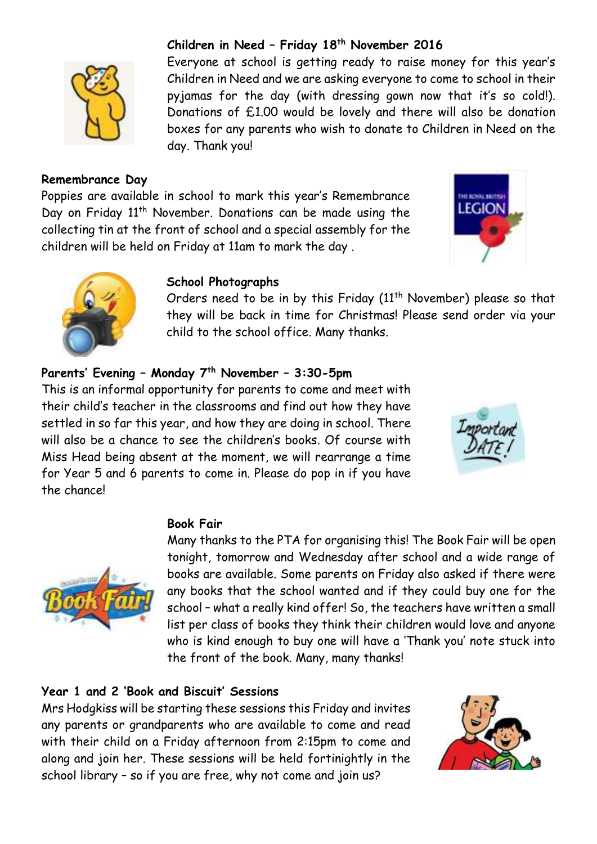

### **Remembrance Day**

Poppies are available in school to mark this year's Remembrance Day on Friday 11<sup>th</sup> November. Donations can be made using the collecting tin at the front of school and a special assembly for the children will be held on Friday at 11am to mark the day .

day. Thank you!





#### **School Photographs**

Orders need to be in by this Friday (11<sup>th</sup> November) please so that they will be back in time for Christmas! Please send order via your child to the school office. Many thanks.

Everyone at school is getting ready to raise money for this year's Children in Need and we are asking everyone to come to school in their pyjamas for the day (with dressing gown now that it's so cold!). Donations of £1.00 would be lovely and there will also be donation boxes for any parents who wish to donate to Children in Need on the

### **Parents' Evening – Monday 7th November – 3:30-5pm**

This is an informal opportunity for parents to come and meet with their child's teacher in the classrooms and find out how they have settled in so far this year, and how they are doing in school. There will also be a chance to see the children's books. Of course with Miss Head being absent at the moment, we will rearrange a time for Year 5 and 6 parents to come in. Please do pop in if you have the chance!





#### **Book Fair**

Many thanks to the PTA for organising this! The Book Fair will be open tonight, tomorrow and Wednesday after school and a wide range of books are available. Some parents on Friday also asked if there were any books that the school wanted and if they could buy one for the school – what a really kind offer! So, the teachers have written a small list per class of books they think their children would love and anyone who is kind enough to buy one will have a 'Thank you' note stuck into the front of the book. Many, many thanks!

### **Year 1 and 2 'Book and Biscuit' Sessions**

Mrs Hodgkiss will be starting these sessions this Friday and invites any parents or grandparents who are available to come and read with their child on a Friday afternoon from 2:15pm to come and along and join her. These sessions will be held fortinightly in the school library – so if you are free, why not come and join us?